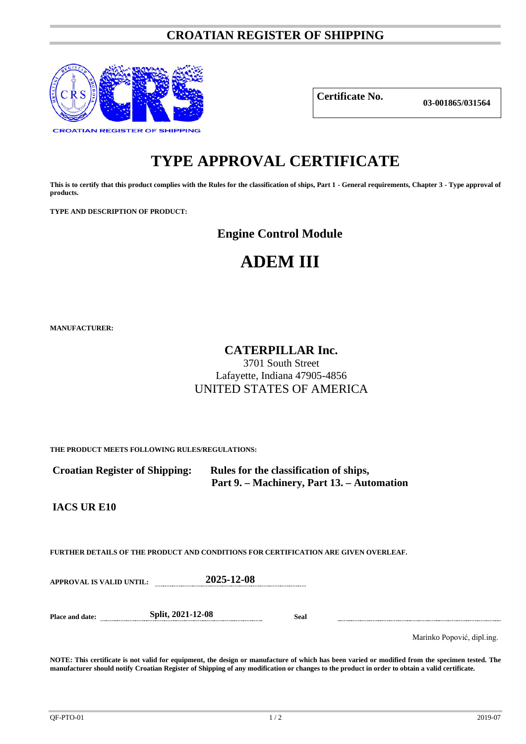### **CROATIAN REGISTER OF SHIPPING**



**Certificate No.**

**03-001865/031564**

## **TYPE APPROVAL CERTIFICATE**

**This is to certify that this product complies with the Rules for the classification of ships, Part 1 - General requirements, Chapter 3 - Type approval of products.**

**TYPE AND DESCRIPTION OF PRODUCT:** 

**Engine Control Module** 

# **ADEM III**

**MANUFACTURER:**

## **CATERPILLAR Inc.**

3701 South Street Lafayette, Indiana 47905-4856 UNITED STATES OF AMERICA

**THE PRODUCT MEETS FOLLOWING RULES/REGULATIONS:**

 **Croatian Register of Shipping: Rules for the classification of ships, Part 9. – Machinery, Part 13. – Automation**

**IACS UR E10**

**FURTHER DETAILS OF THE PRODUCT AND CONDITIONS FOR CERTIFICATION ARE GIVEN OVERLEAF.**

**APPROVAL IS VALID UNTIL: 2025-12-08**

**Place and date: Split, 2021-12-08 Seal**

Marinko Popović, dipl.ing.

**NOTE: This certificate is not valid for equipment, the design or manufacture of which has been varied or modified from the specimen tested. The manufacturer should notify Croatian Register of Shipping of any modification or changes to the product in order to obtain a valid certificate.**